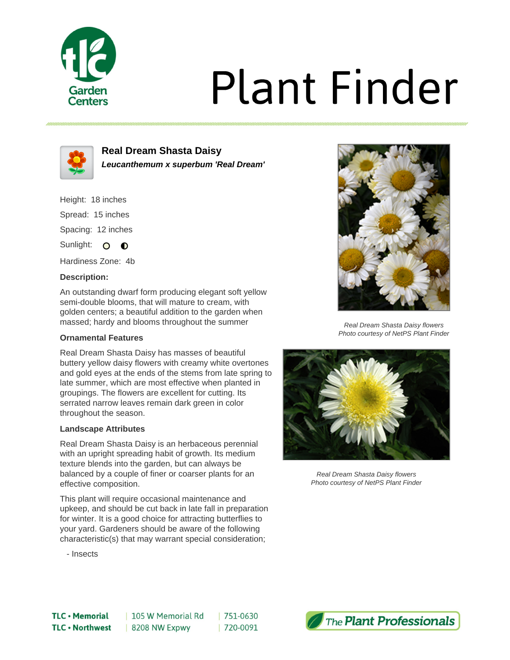

# **Plant Finder**



**Real Dream Shasta Daisy Leucanthemum x superbum 'Real Dream'**

Height: 18 inches Spread: 15 inches Spacing: 12 inches

Sunlight: O **O** 

Hardiness Zone: 4b

## **Description:**

An outstanding dwarf form producing elegant soft yellow semi-double blooms, that will mature to cream, with golden centers; a beautiful addition to the garden when massed; hardy and blooms throughout the summer

### **Ornamental Features**

Real Dream Shasta Daisy has masses of beautiful buttery yellow daisy flowers with creamy white overtones and gold eyes at the ends of the stems from late spring to late summer, which are most effective when planted in groupings. The flowers are excellent for cutting. Its serrated narrow leaves remain dark green in color throughout the season.

### **Landscape Attributes**

Real Dream Shasta Daisy is an herbaceous perennial with an upright spreading habit of growth. Its medium texture blends into the garden, but can always be balanced by a couple of finer or coarser plants for an effective composition.

This plant will require occasional maintenance and upkeep, and should be cut back in late fall in preparation for winter. It is a good choice for attracting butterflies to your yard. Gardeners should be aware of the following characteristic(s) that may warrant special consideration;

- Insects



Real Dream Shasta Daisy flowers Photo courtesy of NetPS Plant Finder



Real Dream Shasta Daisy flowers Photo courtesy of NetPS Plant Finder

751-0630 | 720-0091